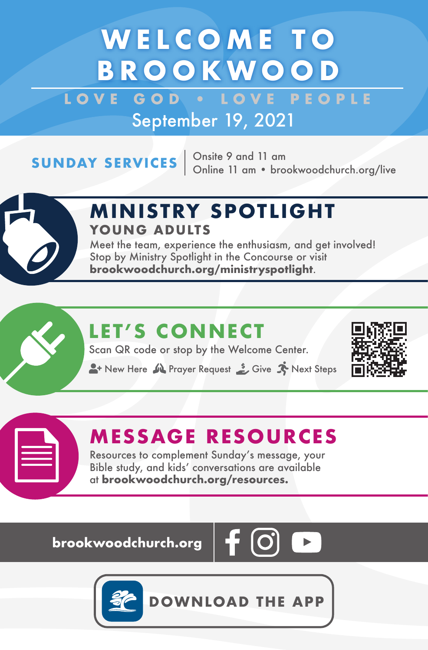# **WELCOME TO BROOKWOOD**

LOVE GOD **. LOVE PEOPLE** September 19, 2021

**SUNDAY SERVICES**  $\begin{array}{r}$  Onsite 9 and 11 am<br>Online 11 am • brookwoodchurch.org/live



### **M IN ISTRY SPOTL IGHT YOUNG ADULTS**

Meet the team, experience the enthusiasm, and get involved! Stop by Ministry Spotlight in the Concourse or visit **brookwoodchurch.org/ministryspotlight**.

## **LET'S CONNECT**

Scan QR code or stop by the Welcome Center.

**A**+ New Here  $\mathbf{M}$  Prayer Request  $\mathbf{S}$  Give  $\mathbf{N}$  Next Steps



### **MESSAGE RESOURCES**

Resources to complement Sunday's message, your Bible study, and kids' conversations are available at **brookwoodchurch.org/resources.**

**brookwoodchurch.org** 





**DOWNLOAD THE APP**